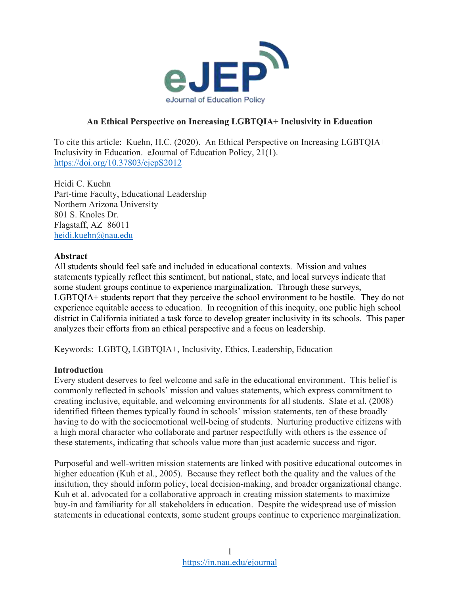

## **An Ethical Perspective on Increasing LGBTQIA+ Inclusivity in Education**

To cite this article: Kuehn, H.C. (2020). An Ethical Perspective on Increasing LGBTQIA+ Inclusivity in Education. eJournal of Education Policy, 21(1). <https://doi.org/10.37803/ejepS2012>

Heidi C. Kuehn Part-time Faculty, Educational Leadership Northern Arizona University 801 S. Knoles Dr. Flagstaff, AZ 86011 [heidi.kuehn@nau.edu](mailto:heidi.kuehn@nau.edu)

### **Abstract**

All students should feel safe and included in educational contexts. Mission and values statements typically reflect this sentiment, but national, state, and local surveys indicate that some student groups continue to experience marginalization. Through these surveys, LGBTQIA+ students report that they perceive the school environment to be hostile. They do not experience equitable access to education. In recognition of this inequity, one public high school district in California initiated a task force to develop greater inclusivity in its schools. This paper analyzes their efforts from an ethical perspective and a focus on leadership.

Keywords: LGBTQ, LGBTQIA+, Inclusivity, Ethics, Leadership, Education

### **Introduction**

Every student deserves to feel welcome and safe in the educational environment. This belief is commonly reflected in schools' mission and values statements, which express commitment to creating inclusive, equitable, and welcoming environments for all students. Slate et al. (2008) identified fifteen themes typically found in schools' mission statements, ten of these broadly having to do with the socioemotional well-being of students. Nurturing productive citizens with a high moral character who collaborate and partner respectfully with others is the essence of these statements, indicating that schools value more than just academic success and rigor.

Purposeful and well-written mission statements are linked with positive educational outcomes in higher education (Kuh et al., 2005). Because they reflect both the quality and the values of the insitution, they should inform policy, local decision-making, and broader organizational change. Kuh et al. advocated for a collaborative approach in creating mission statements to maximize buy-in and familiarity for all stakeholders in education. Despite the widespread use of mission statements in educational contexts, some student groups continue to experience marginalization.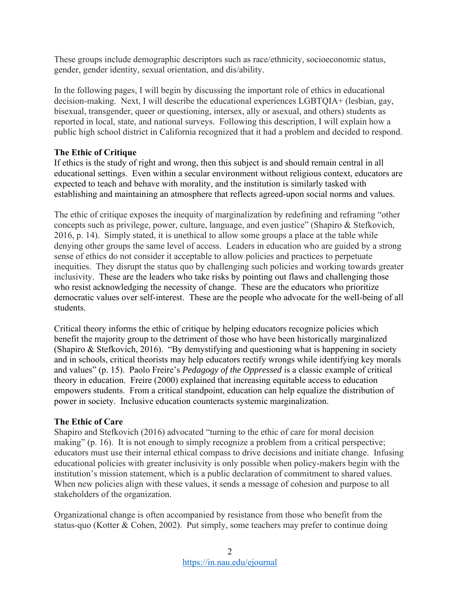These groups include demographic descriptors such as race/ethnicity, socioeconomic status, gender, gender identity, sexual orientation, and dis/ability.

In the following pages, I will begin by discussing the important role of ethics in educational decision-making. Next, I will describe the educational experiences LGBTQIA+ (lesbian, gay, bisexual, transgender, queer or questioning, intersex, ally or asexual, and others) students as reported in local, state, and national surveys. Following this description, I will explain how a public high school district in California recognized that it had a problem and decided to respond.

## **The Ethic of Critique**

If ethics is the study of right and wrong, then this subject is and should remain central in all educational settings. Even within a secular environment without religious context, educators are expected to teach and behave with morality, and the institution is similarly tasked with establishing and maintaining an atmosphere that reflects agreed-upon social norms and values.

The ethic of critique exposes the inequity of marginalization by redefining and reframing "other concepts such as privilege, power, culture, language, and even justice" (Shapiro & Stefkovich, 2016, p. 14). Simply stated, it is unethical to allow some groups a place at the table while denying other groups the same level of access. Leaders in education who are guided by a strong sense of ethics do not consider it acceptable to allow policies and practices to perpetuate inequities. They disrupt the status quo by challenging such policies and working towards greater inclusivity. These are the leaders who take risks by pointing out flaws and challenging those who resist acknowledging the necessity of change. These are the educators who prioritize democratic values over self-interest. These are the people who advocate for the well-being of all students.

Critical theory informs the ethic of critique by helping educators recognize policies which benefit the majority group to the detriment of those who have been historically marginalized (Shapiro & Stefkovich, 2016). "By demystifying and questioning what is happening in society and in schools, critical theorists may help educators rectify wrongs while identifying key morals and values" (p. 15). Paolo Freire's *Pedagogy of the Oppressed* is a classic example of critical theory in education. Freire (2000) explained that increasing equitable access to education empowers students. From a critical standpoint, education can help equalize the distribution of power in society. Inclusive education counteracts systemic marginalization.

## **The Ethic of Care**

Shapiro and Stefkovich (2016) advocated "turning to the ethic of care for moral decision making" (p. 16). It is not enough to simply recognize a problem from a critical perspective; educators must use their internal ethical compass to drive decisions and initiate change. Infusing educational policies with greater inclusivity is only possible when policy-makers begin with the institution's mission statement, which is a public declaration of commitment to shared values. When new policies align with these values, it sends a message of cohesion and purpose to all stakeholders of the organization.

Organizational change is often accompanied by resistance from those who benefit from the status-quo (Kotter & Cohen, 2002). Put simply, some teachers may prefer to continue doing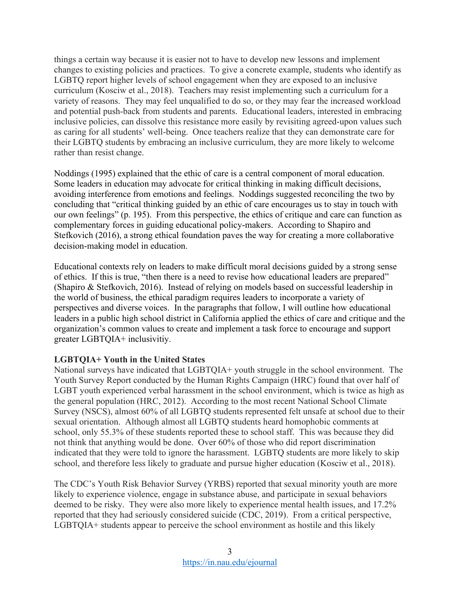things a certain way because it is easier not to have to develop new lessons and implement changes to existing policies and practices. To give a concrete example, students who identify as LGBTQ report higher levels of school engagement when they are exposed to an inclusive curriculum (Kosciw et al., 2018). Teachers may resist implementing such a curriculum for a variety of reasons. They may feel unqualified to do so, or they may fear the increased workload and potential push-back from students and parents. Educational leaders, interested in embracing inclusive policies, can dissolve this resistance more easily by revisiting agreed-upon values such as caring for all students' well-being. Once teachers realize that they can demonstrate care for their LGBTQ students by embracing an inclusive curriculum, they are more likely to welcome rather than resist change.

Noddings (1995) explained that the ethic of care is a central component of moral education. Some leaders in education may advocate for critical thinking in making difficult decisions, avoiding interference from emotions and feelings. Noddings suggested reconciling the two by concluding that "critical thinking guided by an ethic of care encourages us to stay in touch with our own feelings" (p. 195). From this perspective, the ethics of critique and care can function as complementary forces in guiding educational policy-makers. According to Shapiro and Stefkovich (2016), a strong ethical foundation paves the way for creating a more collaborative decision-making model in education.

Educational contexts rely on leaders to make difficult moral decisions guided by a strong sense of ethics. If this is true, "then there is a need to revise how educational leaders are prepared" (Shapiro & Stefkovich, 2016). Instead of relying on models based on successful leadership in the world of business, the ethical paradigm requires leaders to incorporate a variety of perspectives and diverse voices. In the paragraphs that follow, I will outline how educational leaders in a public high school district in California applied the ethics of care and critique and the organization's common values to create and implement a task force to encourage and support greater LGBTQIA+ inclusivitiy.

## **LGBTQIA+ Youth in the United States**

National surveys have indicated that LGBTQIA+ youth struggle in the school environment. The Youth Survey Report conducted by the Human Rights Campaign (HRC) found that over half of LGBT youth experienced verbal harassment in the school environment, which is twice as high as the general population (HRC, 2012). According to the most recent National School Climate Survey (NSCS), almost 60% of all LGBTQ students represented felt unsafe at school due to their sexual orientation. Although almost all LGBTQ students heard homophobic comments at school, only 55.3% of these students reported these to school staff. This was because they did not think that anything would be done. Over 60% of those who did report discrimination indicated that they were told to ignore the harassment. LGBTQ students are more likely to skip school, and therefore less likely to graduate and pursue higher education (Kosciw et al., 2018).

The CDC's Youth Risk Behavior Survey (YRBS) reported that sexual minority youth are more likely to experience violence, engage in substance abuse, and participate in sexual behaviors deemed to be risky. They were also more likely to experience mental health issues, and 17.2% reported that they had seriously considered suicide (CDC, 2019). From a critical perspective, LGBTQIA+ students appear to perceive the school environment as hostile and this likely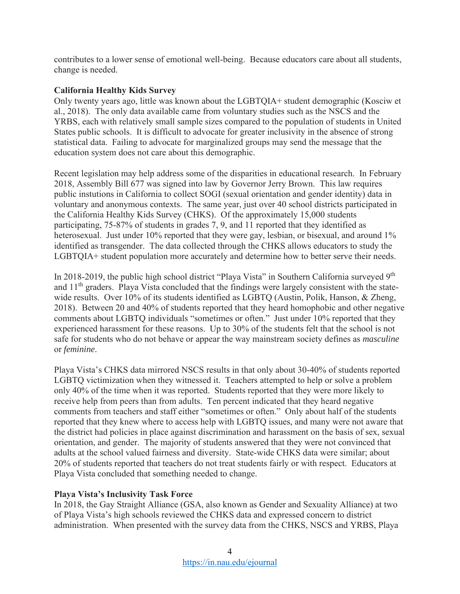contributes to a lower sense of emotional well-being. Because educators care about all students, change is needed.

## **California Healthy Kids Survey**

Only twenty years ago, little was known about the LGBTQIA+ student demographic (Kosciw et al., 2018). The only data available came from voluntary studies such as the NSCS and the YRBS, each with relatively small sample sizes compared to the population of students in United States public schools. It is difficult to advocate for greater inclusivity in the absence of strong statistical data. Failing to advocate for marginalized groups may send the message that the education system does not care about this demographic.

Recent legislation may help address some of the disparities in educational research. In February 2018, Assembly Bill 677 was signed into law by Governor Jerry Brown. This law requires public instutions in California to collect SOGI (sexual orientation and gender identity) data in voluntary and anonymous contexts. The same year, just over 40 school districts participated in the California Healthy Kids Survey (CHKS). Of the approximately 15,000 students participating, 75-87% of students in grades 7, 9, and 11 reported that they identified as heterosexual. Just under 10% reported that they were gay, lesbian, or bisexual, and around 1% identified as transgender. The data collected through the CHKS allows educators to study the LGBTQIA+ student population more accurately and determine how to better serve their needs.

In 2018-2019, the public high school district "Playa Vista" in Southern California surveyed 9<sup>th</sup> and 11th graders. Playa Vista concluded that the findings were largely consistent with the statewide results. Over 10% of its students identified as LGBTQ (Austin, Polik, Hanson, & Zheng, 2018). Between 20 and 40% of students reported that they heard homophobic and other negative comments about LGBTQ individuals "sometimes or often." Just under 10% reported that they experienced harassment for these reasons. Up to 30% of the students felt that the school is not safe for students who do not behave or appear the way mainstream society defines as *masculine*  or *feminine*.

Playa Vista's CHKS data mirrored NSCS results in that only about 30-40% of students reported LGBTQ victimization when they witnessed it. Teachers attempted to help or solve a problem only 40% of the time when it was reported. Students reported that they were more likely to receive help from peers than from adults. Ten percent indicated that they heard negative comments from teachers and staff either "sometimes or often." Only about half of the students reported that they knew where to access help with LGBTQ issues, and many were not aware that the district had policies in place against discrimination and harassment on the basis of sex, sexual orientation, and gender. The majority of students answered that they were not convinced that adults at the school valued fairness and diversity. State-wide CHKS data were similar; about 20% of students reported that teachers do not treat students fairly or with respect. Educators at Playa Vista concluded that something needed to change.

# **Playa Vista's Inclusivity Task Force**

In 2018, the Gay Straight Alliance (GSA, also known as Gender and Sexuality Alliance) at two of Playa Vista's high schools reviewed the CHKS data and expressed concern to district administration. When presented with the survey data from the CHKS, NSCS and YRBS, Playa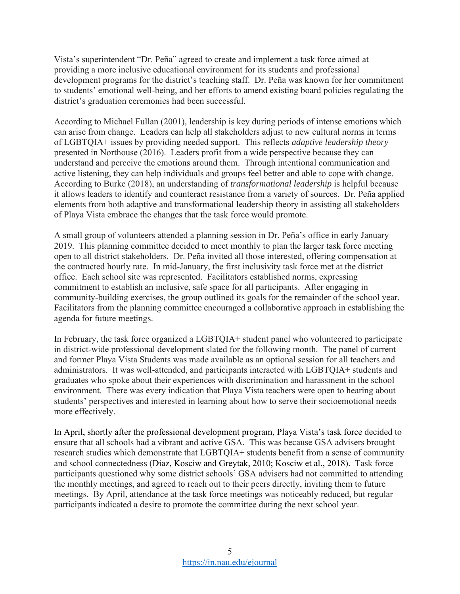Vista's superintendent "Dr. Peña" agreed to create and implement a task force aimed at providing a more inclusive educational environment for its students and professional development programs for the district's teaching staff. Dr. Peña was known for her commitment to students' emotional well-being, and her efforts to amend existing board policies regulating the district's graduation ceremonies had been successful.

According to Michael Fullan (2001), leadership is key during periods of intense emotions which can arise from change. Leaders can help all stakeholders adjust to new cultural norms in terms of LGBTQIA+ issues by providing needed support. This reflects *adaptive leadership theory* presented in Northouse (2016). Leaders profit from a wide perspective because they can understand and perceive the emotions around them. Through intentional communication and active listening, they can help individuals and groups feel better and able to cope with change. According to Burke (2018), an understanding of *transformational leadership* is helpful because it allows leaders to identify and counteract resistance from a variety of sources. Dr. Peña applied elements from both adaptive and transformational leadership theory in assisting all stakeholders of Playa Vista embrace the changes that the task force would promote.

A small group of volunteers attended a planning session in Dr. Peña's office in early January 2019. This planning committee decided to meet monthly to plan the larger task force meeting open to all district stakeholders. Dr. Peña invited all those interested, offering compensation at the contracted hourly rate. In mid-January, the first inclusivity task force met at the district office. Each school site was represented. Facilitators established norms, expressing commitment to establish an inclusive, safe space for all participants. After engaging in community-building exercises, the group outlined its goals for the remainder of the school year. Facilitators from the planning committee encouraged a collaborative approach in establishing the agenda for future meetings.

In February, the task force organized a LGBTQIA+ student panel who volunteered to participate in district-wide professional development slated for the following month. The panel of current and former Playa Vista Students was made available as an optional session for all teachers and administrators. It was well-attended, and participants interacted with LGBTQIA+ students and graduates who spoke about their experiences with discrimination and harassment in the school environment. There was every indication that Playa Vista teachers were open to hearing about students' perspectives and interested in learning about how to serve their socioemotional needs more effectively.

In April, shortly after the professional development program, Playa Vista's task force decided to ensure that all schools had a vibrant and active GSA. This was because GSA advisers brought research studies which demonstrate that LGBTQIA+ students benefit from a sense of community and school connectedness (Diaz, Kosciw and Greytak, 2010; Kosciw et al., 2018). Task force participants questioned why some district schools' GSA advisers had not committed to attending the monthly meetings, and agreed to reach out to their peers directly, inviting them to future meetings. By April, attendance at the task force meetings was noticeably reduced, but regular participants indicated a desire to promote the committee during the next school year.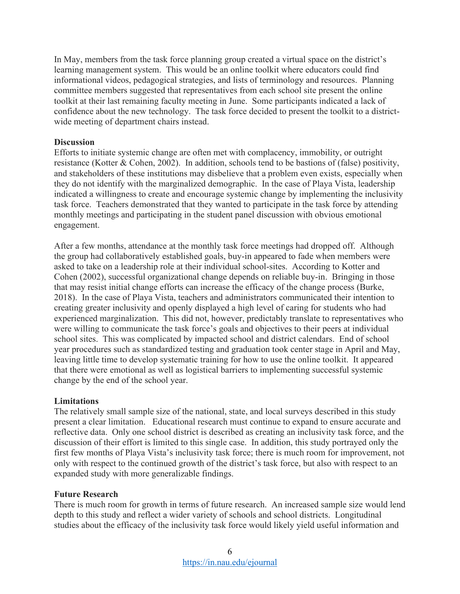In May, members from the task force planning group created a virtual space on the district's learning management system. This would be an online toolkit where educators could find informational videos, pedagogical strategies, and lists of terminology and resources. Planning committee members suggested that representatives from each school site present the online toolkit at their last remaining faculty meeting in June. Some participants indicated a lack of confidence about the new technology. The task force decided to present the toolkit to a districtwide meeting of department chairs instead.

### **Discussion**

Efforts to initiate systemic change are often met with complacency, immobility, or outright resistance (Kotter & Cohen, 2002). In addition, schools tend to be bastions of (false) positivity, and stakeholders of these institutions may disbelieve that a problem even exists, especially when they do not identify with the marginalized demographic. In the case of Playa Vista, leadership indicated a willingness to create and encourage systemic change by implementing the inclusivity task force. Teachers demonstrated that they wanted to participate in the task force by attending monthly meetings and participating in the student panel discussion with obvious emotional engagement.

After a few months, attendance at the monthly task force meetings had dropped off. Although the group had collaboratively established goals, buy-in appeared to fade when members were asked to take on a leadership role at their individual school-sites. According to Kotter and Cohen (2002), successful organizational change depends on reliable buy-in. Bringing in those that may resist initial change efforts can increase the efficacy of the change process (Burke, 2018). In the case of Playa Vista, teachers and administrators communicated their intention to creating greater inclusivity and openly displayed a high level of caring for students who had experienced marginalization. This did not, however, predictably translate to representatives who were willing to communicate the task force's goals and objectives to their peers at individual school sites. This was complicated by impacted school and district calendars. End of school year procedures such as standardized testing and graduation took center stage in April and May, leaving little time to develop systematic training for how to use the online toolkit. It appeared that there were emotional as well as logistical barriers to implementing successful systemic change by the end of the school year.

### **Limitations**

The relatively small sample size of the national, state, and local surveys described in this study present a clear limitation. Educational research must continue to expand to ensure accurate and reflective data. Only one school district is described as creating an inclusivity task force, and the discussion of their effort is limited to this single case. In addition, this study portrayed only the first few months of Playa Vista's inclusivity task force; there is much room for improvement, not only with respect to the continued growth of the district's task force, but also with respect to an expanded study with more generalizable findings.

### **Future Research**

There is much room for growth in terms of future research. An increased sample size would lend depth to this study and reflect a wider variety of schools and school districts. Longitudinal studies about the efficacy of the inclusivity task force would likely yield useful information and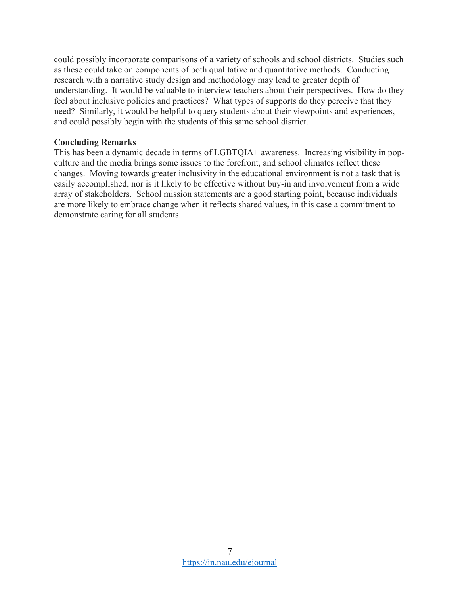could possibly incorporate comparisons of a variety of schools and school districts. Studies such as these could take on components of both qualitative and quantitative methods. Conducting research with a narrative study design and methodology may lead to greater depth of understanding. It would be valuable to interview teachers about their perspectives. How do they feel about inclusive policies and practices? What types of supports do they perceive that they need? Similarly, it would be helpful to query students about their viewpoints and experiences, and could possibly begin with the students of this same school district.

### **Concluding Remarks**

This has been a dynamic decade in terms of LGBTQIA+ awareness. Increasing visibility in popculture and the media brings some issues to the forefront, and school climates reflect these changes. Moving towards greater inclusivity in the educational environment is not a task that is easily accomplished, nor is it likely to be effective without buy-in and involvement from a wide array of stakeholders. School mission statements are a good starting point, because individuals are more likely to embrace change when it reflects shared values, in this case a commitment to demonstrate caring for all students.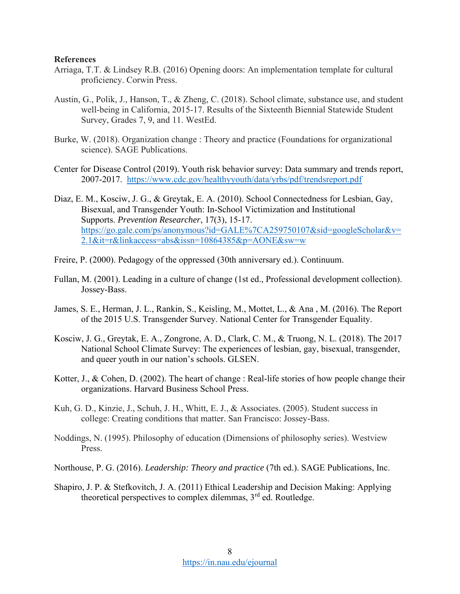#### **References**

- Arriaga, T.T. & Lindsey R.B. (2016) Opening doors: An implementation template for cultural proficiency. Corwin Press.
- Austin, G., Polik, J., Hanson, T., & Zheng, C. (2018). School climate, substance use, and student well-being in California, 2015-17. Results of the Sixteenth Biennial Statewide Student Survey, Grades 7, 9, and 11. WestEd.
- Burke, W. (2018). Organization change : Theory and practice (Foundations for organizational science). SAGE Publications.
- Center for Disease Control (2019). Youth risk behavior survey: Data summary and trends report, 2007-2017. <https://www.cdc.gov/healthyyouth/data/yrbs/pdf/trendsreport.pdf>
- Diaz, E. M., Kosciw, J. G., & Greytak, E. A. (2010). School Connectedness for Lesbian, Gay, Bisexual, and Transgender Youth: In-School Victimization and Institutional Supports. *Prevention Researcher*, 17(3), 15-17. [https://go.gale.com/ps/anonymous?id=GALE%7CA259750107&sid=googleScholar&v=](https://go.gale.com/ps/anonymous?id=GALE%7CA259750107&sid=googleScholar&v=2.1&it=r&linkaccess=abs&issn=10864385&p=AONE&sw=w) [2.1&it=r&linkaccess=abs&issn=10864385&p=AONE&sw=w](https://go.gale.com/ps/anonymous?id=GALE%7CA259750107&sid=googleScholar&v=2.1&it=r&linkaccess=abs&issn=10864385&p=AONE&sw=w)
- Freire, P. (2000). Pedagogy of the oppressed (30th anniversary ed.). Continuum.
- Fullan, M. (2001). Leading in a culture of change (1st ed., Professional development collection). Jossey-Bass.
- James, S. E., Herman, J. L., Rankin, S., Keisling, M., Mottet, L., & Ana , M. (2016). The Report of the 2015 U.S. Transgender Survey. National Center for Transgender Equality.
- Kosciw, J. G., Greytak, E. A., Zongrone, A. D., Clark, C. M., & Truong, N. L. (2018). The 2017 National School Climate Survey: The experiences of lesbian, gay, bisexual, transgender, and queer youth in our nation's schools. GLSEN.
- Kotter, J., & Cohen, D. (2002). The heart of change : Real-life stories of how people change their organizations. Harvard Business School Press.
- Kuh, G. D., Kinzie, J., Schuh, J. H., Whitt, E. J., & Associates. (2005). Student success in college: Creating conditions that matter. San Francisco: Jossey-Bass.
- Noddings, N. (1995). Philosophy of education (Dimensions of philosophy series). Westview Press.
- Northouse, P. G. (2016). *Leadership: Theory and practice* (7th ed.). SAGE Publications, Inc.
- Shapiro, J. P. & Stefkovitch, J. A. (2011) Ethical Leadership and Decision Making: Applying theoretical perspectives to complex dilemmas, 3rd ed. Routledge.